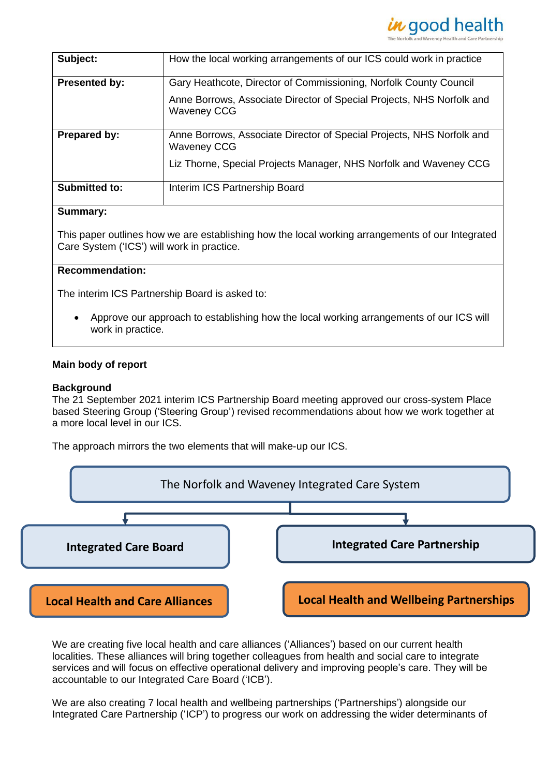

| Subject:             | How the local working arrangements of our ICS could work in practice                        |
|----------------------|---------------------------------------------------------------------------------------------|
| <b>Presented by:</b> | Gary Heathcote, Director of Commissioning, Norfolk County Council                           |
|                      | Anne Borrows, Associate Director of Special Projects, NHS Norfolk and<br><b>Waveney CCG</b> |
| <b>Prepared by:</b>  | Anne Borrows, Associate Director of Special Projects, NHS Norfolk and<br><b>Waveney CCG</b> |
|                      | Liz Thorne, Special Projects Manager, NHS Norfolk and Waveney CCG                           |
| <b>Submitted to:</b> | Interim ICS Partnership Board                                                               |

### **Summary:**

This paper outlines how we are establishing how the local working arrangements of our Integrated Care System ('ICS') will work in practice.

# **Recommendation:**

The interim ICS Partnership Board is asked to:

• Approve our approach to establishing how the local working arrangements of our ICS will work in practice.

### **Main body of report**

#### **Background**

The 21 September 2021 interim ICS Partnership Board meeting approved our cross-system Place based Steering Group ('Steering Group') revised recommendations about how we work together at a more local level in our ICS.

The approach mirrors the two elements that will make-up our ICS.



We are creating five local health and care alliances ('Alliances') based on our current health localities. These alliances will bring together colleagues from health and social care to integrate services and will focus on effective operational delivery and improving people's care. They will be accountable to our Integrated Care Board ('ICB').

We are also creating 7 local health and wellbeing partnerships ('Partnerships') alongside our Integrated Care Partnership ('ICP') to progress our work on addressing the wider determinants of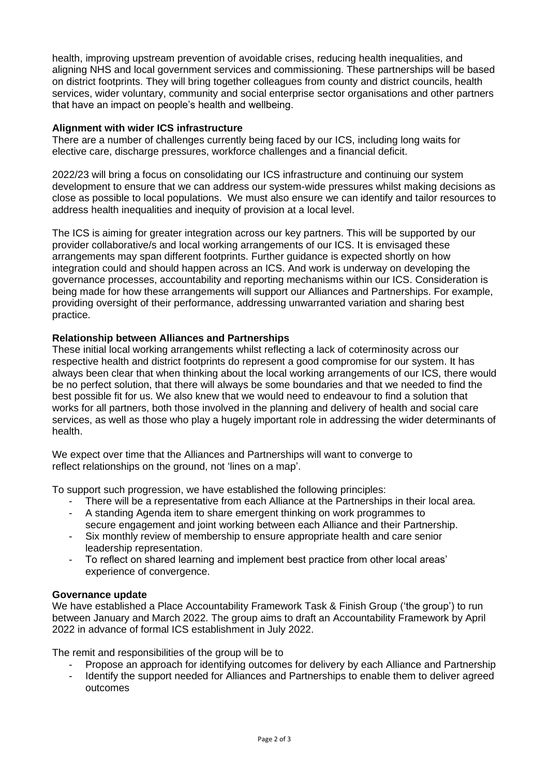health, improving upstream prevention of avoidable crises, reducing health inequalities, and aligning NHS and local government services and commissioning. These partnerships will be based on district footprints. They will bring together colleagues from county and district councils, health services, wider voluntary, community and social enterprise sector organisations and other partners that have an impact on people's health and wellbeing.

### **Alignment with wider ICS infrastructure**

There are a number of challenges currently being faced by our ICS, including long waits for elective care, discharge pressures, workforce challenges and a financial deficit.

2022/23 will bring a focus on consolidating our ICS infrastructure and continuing our system development to ensure that we can address our system-wide pressures whilst making decisions as close as possible to local populations. We must also ensure we can identify and tailor resources to address health inequalities and inequity of provision at a local level.

The ICS is aiming for greater integration across our key partners. This will be supported by our provider collaborative/s and local working arrangements of our ICS. It is envisaged these arrangements may span different footprints. Further guidance is expected shortly on how integration could and should happen across an ICS. And work is underway on developing the governance processes, accountability and reporting mechanisms within our ICS. Consideration is being made for how these arrangements will support our Alliances and Partnerships. For example, providing oversight of their performance, addressing unwarranted variation and sharing best practice.

# **Relationship between Alliances and Partnerships**

These initial local working arrangements whilst reflecting a lack of coterminosity across our respective health and district footprints do represent a good compromise for our system. It has always been clear that when thinking about the local working arrangements of our ICS, there would be no perfect solution, that there will always be some boundaries and that we needed to find the best possible fit for us. We also knew that we would need to endeavour to find a solution that works for all partners, both those involved in the planning and delivery of health and social care services, as well as those who play a hugely important role in addressing the wider determinants of health.

We expect over time that the Alliances and Partnerships will want to converge to reflect relationships on the ground, not 'lines on a map'.

To support such progression, we have established the following principles:

- There will be a representative from each Alliance at the Partnerships in their local area.
- A standing Agenda item to share emergent thinking on work programmes to secure engagement and joint working between each Alliance and their Partnership.
- Six monthly review of membership to ensure appropriate health and care senior leadership representation.
- To reflect on shared learning and implement best practice from other local areas' experience of convergence.

### **Governance update**

We have established a Place Accountability Framework Task & Finish Group ('the group') to run between January and March 2022. The group aims to draft an Accountability Framework by April 2022 in advance of formal ICS establishment in July 2022.

The remit and responsibilities of the group will be to

- Propose an approach for identifying outcomes for delivery by each Alliance and Partnership
- Identify the support needed for Alliances and Partnerships to enable them to deliver agreed outcomes